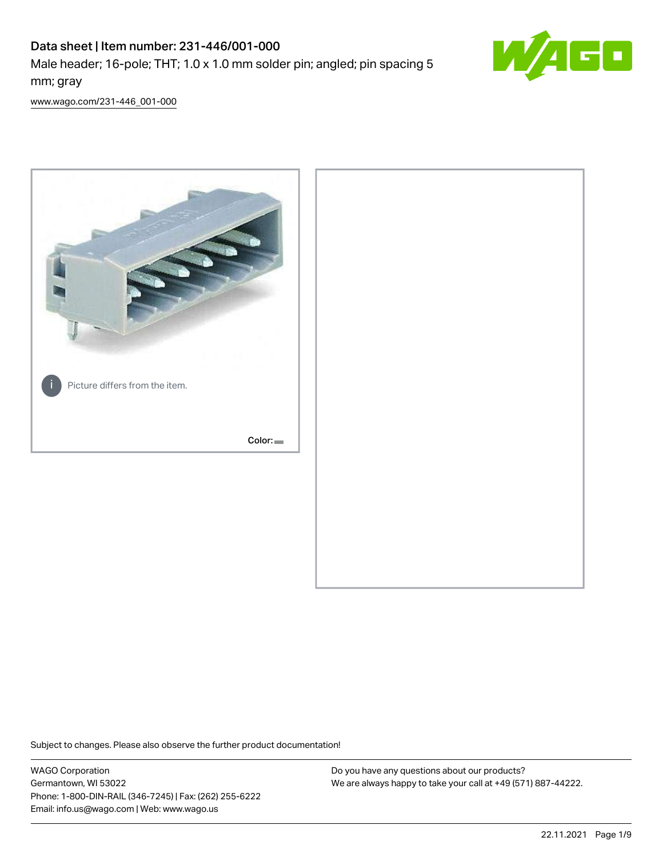# Data sheet | Item number: 231-446/001-000

Male header; 16-pole; THT; 1.0 x 1.0 mm solder pin; angled; pin spacing 5 mm; gray



[www.wago.com/231-446\\_001-000](http://www.wago.com/231-446_001-000)



Subject to changes. Please also observe the further product documentation!

WAGO Corporation Germantown, WI 53022 Phone: 1-800-DIN-RAIL (346-7245) | Fax: (262) 255-6222 Email: info.us@wago.com | Web: www.wago.us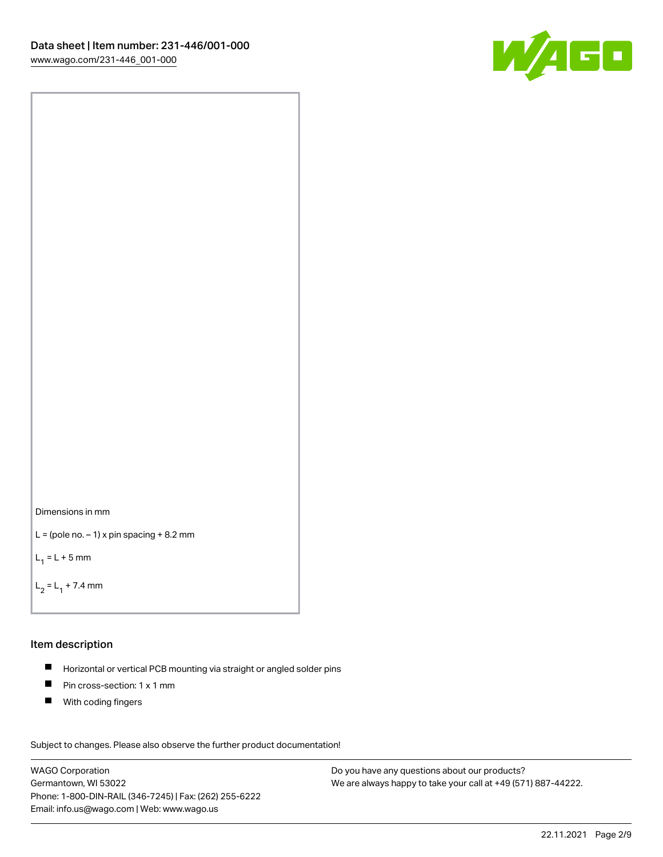



```
L = (pole no. -1) x pin spacing +8.2 mm
```
 $L_1 = L + 5$  mm

```
L_2 = L_1 + 7.4 mm
```
#### Item description

- Horizontal or vertical PCB mounting via straight or angled solder pins  $\blacksquare$
- $\blacksquare$ Pin cross-section: 1 x 1 mm
- $\blacksquare$ With coding fingers

Subject to changes. Please also observe the further product documentation! Data

WAGO Corporation Germantown, WI 53022 Phone: 1-800-DIN-RAIL (346-7245) | Fax: (262) 255-6222 Email: info.us@wago.com | Web: www.wago.us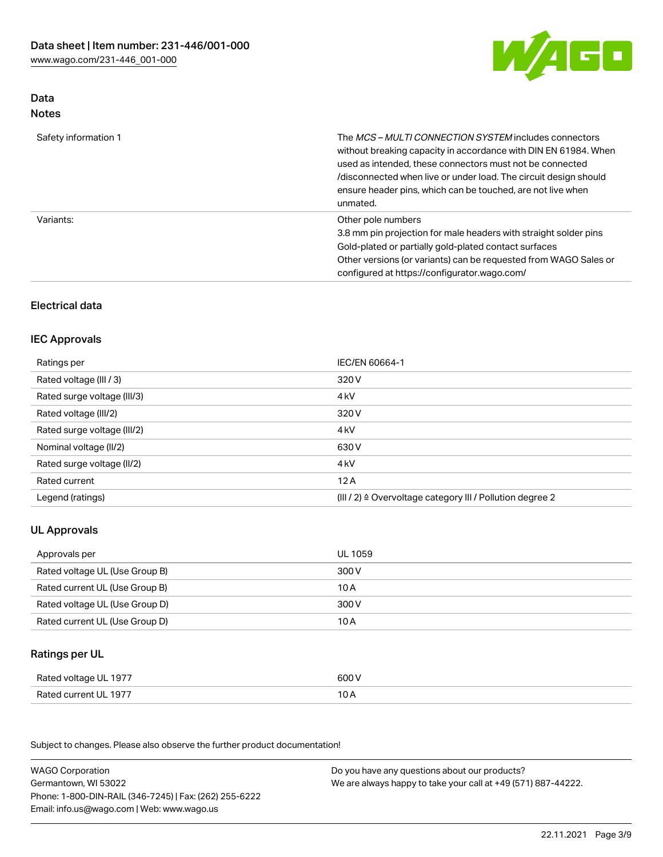

## Data Notes

| Safety information 1 | The <i>MCS – MULTI CONNECTION SYSTEM</i> includes connectors<br>without breaking capacity in accordance with DIN EN 61984. When<br>used as intended, these connectors must not be connected<br>/disconnected when live or under load. The circuit design should<br>ensure header pins, which can be touched, are not live when<br>unmated. |
|----------------------|--------------------------------------------------------------------------------------------------------------------------------------------------------------------------------------------------------------------------------------------------------------------------------------------------------------------------------------------|
| Variants:            | Other pole numbers<br>3.8 mm pin projection for male headers with straight solder pins<br>Gold-plated or partially gold-plated contact surfaces<br>Other versions (or variants) can be requested from WAGO Sales or<br>configured at https://configurator.wago.com/                                                                        |

## Electrical data

## IEC Approvals

| Ratings per                 | IEC/EN 60664-1                                                        |
|-----------------------------|-----------------------------------------------------------------------|
| Rated voltage (III / 3)     | 320 V                                                                 |
| Rated surge voltage (III/3) | 4 <sub>k</sub> V                                                      |
| Rated voltage (III/2)       | 320 V                                                                 |
| Rated surge voltage (III/2) | 4 <sub>kV</sub>                                                       |
| Nominal voltage (II/2)      | 630 V                                                                 |
| Rated surge voltage (II/2)  | 4 <sub>k</sub> V                                                      |
| Rated current               | 12A                                                                   |
| Legend (ratings)            | $(III / 2)$ $\triangle$ Overvoltage category III / Pollution degree 2 |

## UL Approvals

| Approvals per                  | UL 1059 |
|--------------------------------|---------|
| Rated voltage UL (Use Group B) | 300 V   |
| Rated current UL (Use Group B) | 10 A    |
| Rated voltage UL (Use Group D) | 300 V   |
| Rated current UL (Use Group D) | 10 A    |

## Ratings per UL

| Rated voltage UL 1977 | 600 V |
|-----------------------|-------|
| Rated current UL 1977 | 10 A  |

| <b>WAGO Corporation</b>                                | Do you have any questions about our products?                 |
|--------------------------------------------------------|---------------------------------------------------------------|
| Germantown, WI 53022                                   | We are always happy to take your call at +49 (571) 887-44222. |
| Phone: 1-800-DIN-RAIL (346-7245)   Fax: (262) 255-6222 |                                                               |
| Email: info.us@wago.com   Web: www.wago.us             |                                                               |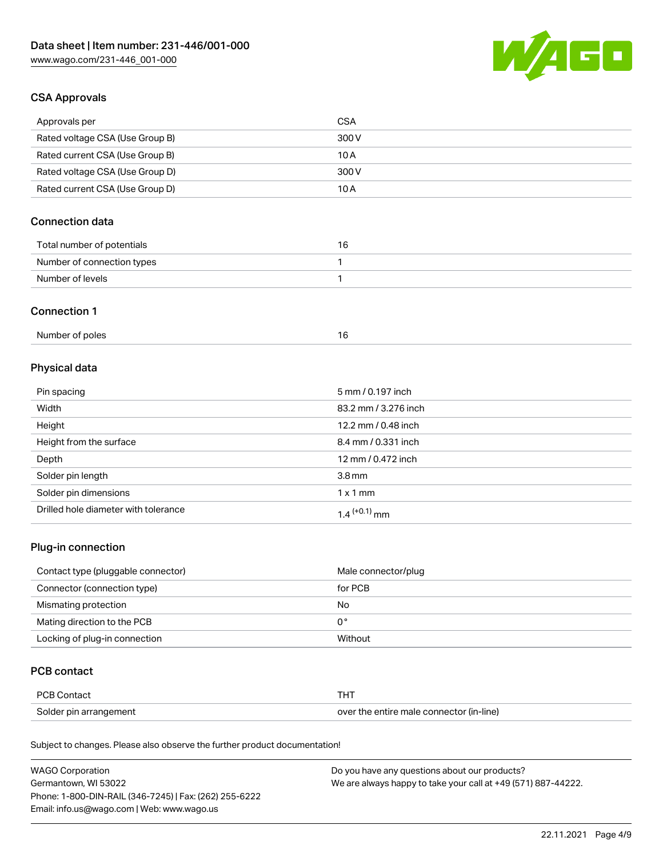

## CSA Approvals

| Approvals per                   | CSA   |
|---------------------------------|-------|
| Rated voltage CSA (Use Group B) | 300 V |
| Rated current CSA (Use Group B) | 10 A  |
| Rated voltage CSA (Use Group D) | 300 V |
| Rated current CSA (Use Group D) | 10 A  |

## Connection data

| Total number of potentials | 16 |
|----------------------------|----|
| Number of connection types |    |
| Number of levels           |    |

#### Connection 1

# Physical data

| Pin spacing                          | 5 mm / 0.197 inch    |
|--------------------------------------|----------------------|
| Width                                | 83.2 mm / 3.276 inch |
| Height                               | 12.2 mm / 0.48 inch  |
| Height from the surface              | 8.4 mm / 0.331 inch  |
| Depth                                | 12 mm / 0.472 inch   |
| Solder pin length                    | 3.8 <sub>mm</sub>    |
| Solder pin dimensions                | $1 \times 1$ mm      |
| Drilled hole diameter with tolerance | $1.4$ $(+0.1)$ mm    |

## Plug-in connection

| Contact type (pluggable connector) | Male connector/plug |
|------------------------------------|---------------------|
| Connector (connection type)        | for PCB             |
| Mismating protection               | No                  |
| Mating direction to the PCB        | 0°                  |
| Locking of plug-in connection      | Without             |

### PCB contact

| <b>PCB Contact</b>     | <b>THT</b>                               |
|------------------------|------------------------------------------|
| Solder pin arrangement | over the entire male connector (in-line) |

| <b>WAGO Corporation</b>                                | Do you have any questions about our products?                 |
|--------------------------------------------------------|---------------------------------------------------------------|
| Germantown, WI 53022                                   | We are always happy to take your call at +49 (571) 887-44222. |
| Phone: 1-800-DIN-RAIL (346-7245)   Fax: (262) 255-6222 |                                                               |
| Email: info.us@wago.com   Web: www.wago.us             |                                                               |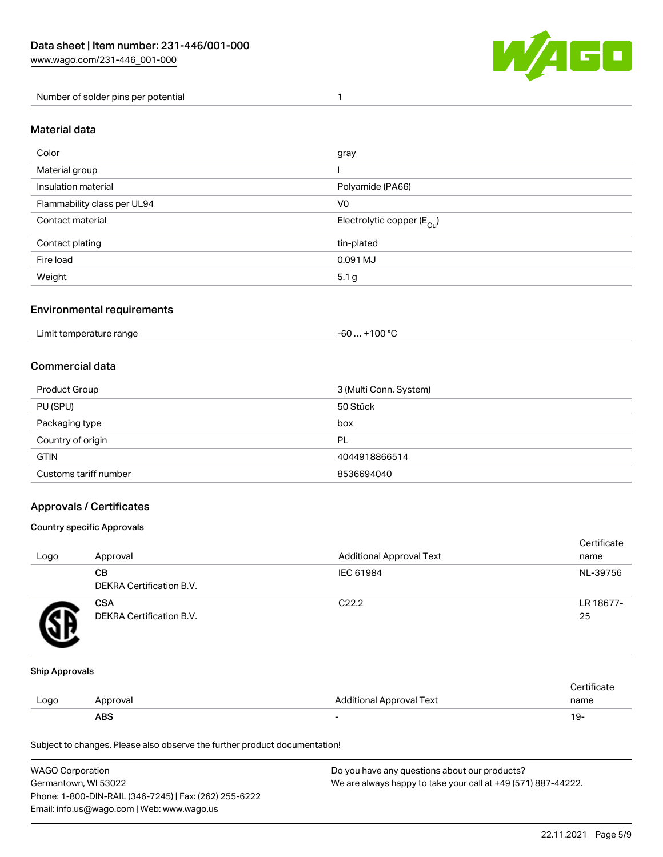

Number of solder pins per potential 1

### Material data

| Color                       | gray                                  |
|-----------------------------|---------------------------------------|
| Material group              |                                       |
| Insulation material         | Polyamide (PA66)                      |
| Flammability class per UL94 | V <sub>0</sub>                        |
| Contact material            | Electrolytic copper $(E_{\text{Cl}})$ |
| Contact plating             | tin-plated                            |
| Fire load                   | 0.091 MJ                              |
| Weight                      | 5.1 <sub>g</sub>                      |

### Environmental requirements

Limit temperature range  $-60... +100$  °C

### Commercial data

| Product Group         | 3 (Multi Conn. System) |
|-----------------------|------------------------|
| PU (SPU)              | 50 Stück               |
| Packaging type        | box                    |
| Country of origin     | PL                     |
| <b>GTIN</b>           | 4044918866514          |
| Customs tariff number | 8536694040             |

### Approvals / Certificates

#### Country specific Approvals

| Logo | Approval                               | <b>Additional Approval Text</b> | Certificate<br>name |
|------|----------------------------------------|---------------------------------|---------------------|
|      | CВ<br><b>DEKRA Certification B.V.</b>  | IEC 61984                       | NL-39756            |
|      | <b>CSA</b><br>DEKRA Certification B.V. | C <sub>22.2</sub>               | LR 18677-<br>25     |

#### Ship Approvals

|      | ABS     |                          | 19-  |
|------|---------|--------------------------|------|
| LOGO | วproval | Additional Approval Text | name |
|      |         |                          |      |

| WAGO Corporation                                       | Do you have any questions about our products?                 |
|--------------------------------------------------------|---------------------------------------------------------------|
| Germantown, WI 53022                                   | We are always happy to take your call at +49 (571) 887-44222. |
| Phone: 1-800-DIN-RAIL (346-7245)   Fax: (262) 255-6222 |                                                               |
| Email: info.us@wago.com   Web: www.wago.us             |                                                               |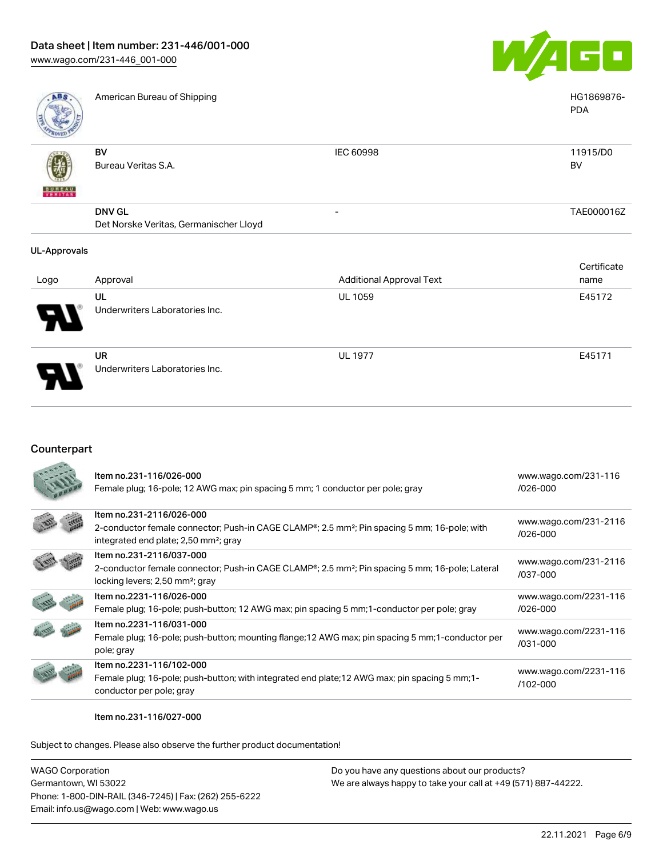

PDA

| a e | Am |
|-----|----|
|     |    |
|     |    |

American Bureau of Shipping HG1869876-

| <b>PAROLED FE</b>        |                                        |                          |                       |
|--------------------------|----------------------------------------|--------------------------|-----------------------|
|                          | BV<br>Bureau Veritas S.A.              | IEC 60998                | 11915/D0<br><b>BV</b> |
| 嚩                        |                                        |                          |                       |
| <b>BUREAU</b><br>VERITAS |                                        |                          |                       |
|                          | <b>DNV GL</b>                          | $\overline{\phantom{0}}$ | TAE000016Z            |
|                          | Det Norske Veritas, Germanischer Lloyd |                          |                       |

#### UL-Approvals

|                       |                                |                                 | Certificate |
|-----------------------|--------------------------------|---------------------------------|-------------|
| Logo                  | Approval                       | <b>Additional Approval Text</b> | name        |
|                       | UL                             | <b>UL 1059</b>                  | E45172      |
| $\boldsymbol{\theta}$ | Underwriters Laboratories Inc. |                                 |             |
|                       | <b>UR</b>                      | <b>UL 1977</b>                  | E45171      |
| p                     | Underwriters Laboratories Inc. |                                 |             |

### Counterpart

| Item no.231-116/026-000<br>Female plug; 16-pole; 12 AWG max; pin spacing 5 mm; 1 conductor per pole; gray                                                                                              | www.wago.com/231-116<br>$/026 - 000$  |
|--------------------------------------------------------------------------------------------------------------------------------------------------------------------------------------------------------|---------------------------------------|
| Item no.231-2116/026-000<br>2-conductor female connector; Push-in CAGE CLAMP <sup>®</sup> ; 2.5 mm <sup>2</sup> ; Pin spacing 5 mm; 16-pole; with<br>integrated end plate; 2,50 mm <sup>2</sup> ; gray | www.wago.com/231-2116<br>/026-000     |
| Item no.231-2116/037-000<br>2-conductor female connector; Push-in CAGE CLAMP <sup>®</sup> ; 2.5 mm <sup>2</sup> ; Pin spacing 5 mm; 16-pole; Lateral<br>locking levers; 2,50 mm <sup>2</sup> ; gray    | www.wago.com/231-2116<br>/037-000     |
| Item no.2231-116/026-000<br>Female plug; 16-pole; push-button; 12 AWG max; pin spacing 5 mm; 1-conductor per pole; gray                                                                                | www.wago.com/2231-116<br>$/026 - 000$ |
| Item no.2231-116/031-000<br>Female plug; 16-pole; push-button; mounting flange; 12 AWG max; pin spacing 5 mm; 1-conductor per<br>pole; gray                                                            | www.wago.com/2231-116<br>/031-000     |
| Item no.2231-116/102-000<br>Female plug; 16-pole; push-button; with integrated end plate; 12 AWG max; pin spacing 5 mm; 1-<br>conductor per pole; gray                                                 | www.wago.com/2231-116<br>$/102 - 000$ |

#### Item no.231-116/027-000

| WAGO Corporation                                       | Do you have any questions about our products?                 |
|--------------------------------------------------------|---------------------------------------------------------------|
| Germantown, WI 53022                                   | We are always happy to take your call at +49 (571) 887-44222. |
| Phone: 1-800-DIN-RAIL (346-7245)   Fax: (262) 255-6222 |                                                               |
| Email: info.us@wago.com   Web: www.wago.us             |                                                               |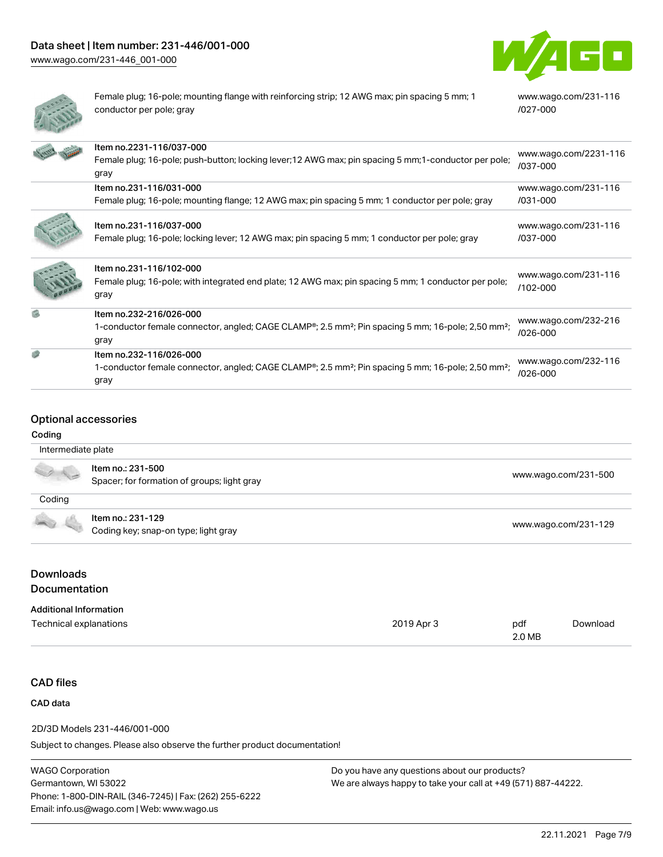

[www.wago.com/231-116](https://www.wago.com/231-116/027-000)

[/027-000](https://www.wago.com/231-116/027-000)



Female plug; 16-pole; mounting flange with reinforcing strip; 12 AWG max; pin spacing 5 mm; 1 conductor per pole; gray

|    | Item no.2231-116/037-000<br>Female plug; 16-pole; push-button; locking lever; 12 AWG max; pin spacing 5 mm; 1-conductor per pole;<br>gray                                  | www.wago.com/2231-116<br>/037-000 |
|----|----------------------------------------------------------------------------------------------------------------------------------------------------------------------------|-----------------------------------|
|    | Item no.231-116/031-000                                                                                                                                                    | www.wago.com/231-116              |
|    | Female plug; 16-pole; mounting flange; 12 AWG max; pin spacing 5 mm; 1 conductor per pole; gray                                                                            | /031-000                          |
|    | Item no.231-116/037-000<br>Female plug; 16-pole; locking lever; 12 AWG max; pin spacing 5 mm; 1 conductor per pole; gray                                                   | www.wago.com/231-116<br>/037-000  |
|    | Item no.231-116/102-000<br>Female plug; 16-pole; with integrated end plate; 12 AWG max; pin spacing 5 mm; 1 conductor per pole;<br>gray                                    | www.wago.com/231-116<br>/102-000  |
| G) | Item no.232-216/026-000<br>1-conductor female connector, angled; CAGE CLAMP <sup>®</sup> ; 2.5 mm <sup>2</sup> ; Pin spacing 5 mm; 16-pole; 2,50 mm <sup>2</sup> ;<br>gray | www.wago.com/232-216<br>/026-000  |
| Ø  | Item no.232-116/026-000<br>1-conductor female connector, angled; CAGE CLAMP®; 2.5 mm <sup>2</sup> ; Pin spacing 5 mm; 16-pole; 2,50 mm <sup>2</sup> ;<br>gray              | www.wago.com/232-116<br>/026-000  |

### Optional accessories

#### Coding

| Intermediate plate                       |                                                                  |                      |
|------------------------------------------|------------------------------------------------------------------|----------------------|
|                                          | Item no.: 231-500<br>Spacer; for formation of groups; light gray | www.wago.com/231-500 |
| Coding                                   |                                                                  |                      |
|                                          | Item no.: 231-129<br>Coding key; snap-on type; light gray        | www.wago.com/231-129 |
| <b>Downloads</b><br><b>Documentation</b> |                                                                  |                      |
| <b>Additional Information</b>            |                                                                  |                      |

| Technical explanations | 2019 Apr 3 | pdf<br>2.0 MB | Download |
|------------------------|------------|---------------|----------|
|                        |            |               |          |

#### CAD files

### CAD data

#### 2D/3D Models 231-446/001-000

Subject to changes. Please also observe the further product documentation!

WAGO Corporation Germantown, WI 53022 Phone: 1-800-DIN-RAIL (346-7245) | Fax: (262) 255-6222 Email: info.us@wago.com | Web: www.wago.us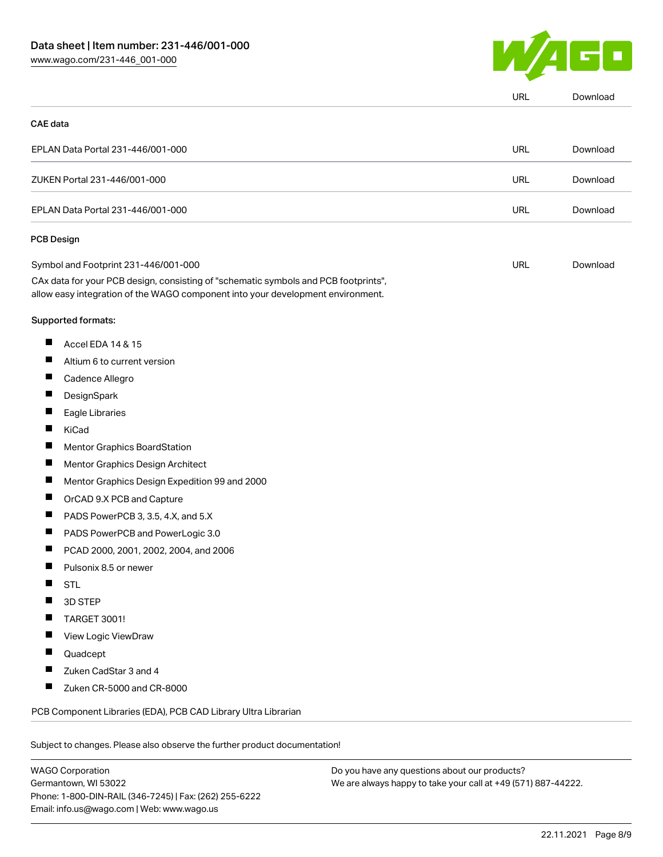

| <b>CAE</b> data |                                                                                                                                                                        |            |          |
|-----------------|------------------------------------------------------------------------------------------------------------------------------------------------------------------------|------------|----------|
|                 |                                                                                                                                                                        |            |          |
|                 | EPLAN Data Portal 231-446/001-000                                                                                                                                      | <b>URL</b> | Download |
|                 | ZUKEN Portal 231-446/001-000                                                                                                                                           | <b>URL</b> | Download |
|                 | EPLAN Data Portal 231-446/001-000                                                                                                                                      | <b>URL</b> | Download |
| PCB Design      |                                                                                                                                                                        |            |          |
|                 | Symbol and Footprint 231-446/001-000                                                                                                                                   | <b>URL</b> | Download |
|                 | CAx data for your PCB design, consisting of "schematic symbols and PCB footprints",<br>allow easy integration of the WAGO component into your development environment. |            |          |
|                 | Supported formats:                                                                                                                                                     |            |          |
| ш               | Accel EDA 14 & 15                                                                                                                                                      |            |          |
| ш               | Altium 6 to current version                                                                                                                                            |            |          |
| ш               | Cadence Allegro                                                                                                                                                        |            |          |
| ш               | DesignSpark                                                                                                                                                            |            |          |
| П               | Eagle Libraries                                                                                                                                                        |            |          |
| ш               | KiCad                                                                                                                                                                  |            |          |
|                 | Mentor Graphics BoardStation                                                                                                                                           |            |          |
| Ш               | Mentor Graphics Design Architect                                                                                                                                       |            |          |
| ш               | Mentor Graphics Design Expedition 99 and 2000                                                                                                                          |            |          |
| ш               | OrCAD 9.X PCB and Capture                                                                                                                                              |            |          |
| ш               | PADS PowerPCB 3, 3.5, 4.X, and 5.X                                                                                                                                     |            |          |
| ш               | PADS PowerPCB and PowerLogic 3.0                                                                                                                                       |            |          |
|                 | PCAD 2000, 2001, 2002, 2004, and 2006                                                                                                                                  |            |          |
| ш               | Pulsonix 8.5 or newer                                                                                                                                                  |            |          |
|                 | <b>STL</b>                                                                                                                                                             |            |          |
|                 | 3D STEP                                                                                                                                                                |            |          |
|                 | TARGET 3001!                                                                                                                                                           |            |          |
|                 | View Logic ViewDraw                                                                                                                                                    |            |          |
|                 | Quadcept                                                                                                                                                               |            |          |
|                 | Zuken CadStar 3 and 4                                                                                                                                                  |            |          |
|                 | Zuken CR-5000 and CR-8000                                                                                                                                              |            |          |
|                 | PCB Component Libraries (EDA), PCB CAD Library Ultra Librarian                                                                                                         |            |          |

WAGO Corporation Germantown, WI 53022 Phone: 1-800-DIN-RAIL (346-7245) | Fax: (262) 255-6222 Email: info.us@wago.com | Web: www.wago.us